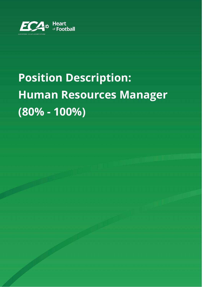

# **Position Description: Human Resources Manager (80% - 100%)**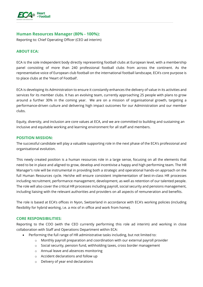

## **Human Resources Manager (80% - 100%):**

Reporting to: Chief Operating Officer (CEO ad interim)

## **ABOUT ECA:**

ECA is the sole independent body directly representing football clubs at European level, with a membership panel consisting of more than 240 professional football clubs from across the continent. As the representative voice of European club football on the international football landscape, ECA's core purpose is to place clubs at the 'Heart of Football'.

ECA is developing its Administration to ensure it constantly enhances the delivery of value in its activities and services for its member clubs. It has an evolving team, currently approaching 25 people with plans to grow around a further 30% in the coming year. We are on a mission of organisational growth, targeting a performance-driven culture and delivering high impact outcomes for our Administration and our member clubs.

Equity, diversity, and inclusion are core values at ECA, and we are committed to building and sustaining an inclusive and equitable working and learning environment for all staff and members.

#### **POSITION MISSION:**

The successful candidate will play a valuable supporting role in the next phase of the ECA's professional and organisational evolution.

This newly created position is a human resources role in a large sense, focusing on all the elements that need to be in place and aligned to grow, develop and incentivise a happy and high performing team. The HR Manager's role will be instrumental in providing both a strategic and operational hands-on approach on the full Human Resources cycle. He/she will ensure consistent implementation of best-in-class HR processes including recruitment, performance management, development, as well as retention of our talented people. The role will also cover the critical HR processes including payroll, social security and pensions management, including liaising with the relevant authorities and providers on all aspects of remuneration and benefits.

The role is based at ECA's offices in Nyon, Switzerland in accordance with ECA's working policies (including flexibility for hybrid working, i.e. a mix of in office and work from home).

### **CORE RESPONSIBILITIES:**

Reporting to the COO (with the CEO currently performing this role ad interim) and working in close collaboration with Staff and Operations Department within ECA:

- Performing the full range of HR administrative tasks including, but not limited to:
	- o Monthly payroll preparation and coordination with our external payroll provider
	- o Social security, pension fund, withholding taxes, cross border management
	- o Annual leave and absences monitoring
	- o Accident declarations and follow up
	- o Delivery of year end declarations